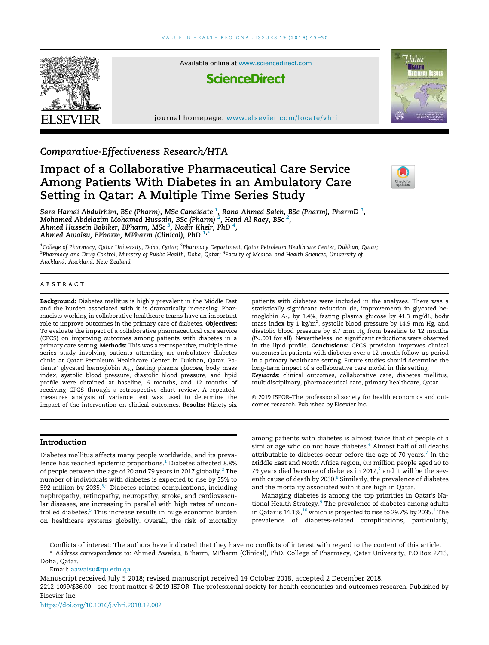

# Comparative-Effectiveness Research/HTA

# Impact of a Collaborative Pharmaceutical Care Service Among Patients With Diabetes in an Ambulatory Care Setting in Qatar: A Multiple Time Series Study



Sara Hamdi Abdulrhim, BSc (Pharm), MSc Candidate <sup>1</sup>, Rana Ahmed Saleh, BSc (Pharm), PharmD <sup>1</sup>,<br>Mohamed Abdelazim Mohamed Hussain, BSc (Pharm) <sup>2</sup>, Hend Al Raey, BSc <sup>2</sup>,<br>Ahmed Hussein Babiker, BPharm, MSc <sup>3</sup>, Nadir Khei Ahmed Awaisu, BPharm, MPharm (Clinical), PhD  $1^*$ 

<sup>1</sup>College of Pharmacy, Qatar University, Doha, Qatar; <sup>2</sup>Pharmacy Department, Qatar Petroleum Healthcare Center, Dukhan, Qatar; <sup>3</sup>Pharmacy and Drug Control, Ministry of Public Health, Doha, Qatar; <sup>4</sup>Faculty of Medical and Health Sciences, University of Auckland, Auckland, New Zealand

#### ABSTRACT

Background: Diabetes mellitus is highly prevalent in the Middle East and the burden associated with it is dramatically increasing. Pharmacists working in collaborative healthcare teams have an important role to improve outcomes in the primary care of diabetes. Objectives: To evaluate the impact of a collaborative pharmaceutical care service (CPCS) on improving outcomes among patients with diabetes in a primary care setting. Methods: This was a retrospective, multiple time series study involving patients attending an ambulatory diabetes clinic at Qatar Petroleum Healthcare Center in Dukhan, Qatar. Patients' glycated hemoglobin  $A_{1c}$ , fasting plasma glucose, body mass index, systolic blood pressure, diastolic blood pressure, and lipid profile were obtained at baseline, 6 months, and 12 months of receiving CPCS through a retrospective chart review. A repeatedmeasures analysis of variance test was used to determine the impact of the intervention on clinical outcomes. Results: Ninety-six patients with diabetes were included in the analyses. There was a statistically significant reduction (ie, improvement) in glycated hemoglobin  $A_{1c}$  by 1.4%, fasting plasma glucose by 41.3 mg/dL, body mass index by 1 kg/m<sup>2</sup>, systolic blood pressure by 14.9 mm Hg, and diastolic blood pressure by 8.7 mm Hg from baseline to 12 months (P<.001 for all). Nevertheless, no significant reductions were observed in the lipid profile. Conclusions: CPCS provision improves clinical outcomes in patients with diabetes over a 12-month follow-up period in a primary healthcare setting. Future studies should determine the long-term impact of a collaborative care model in this setting. Keywords: clinical outcomes, collaborative care, diabetes mellitus, multidisciplinary, pharmaceutical care, primary healthcare, Qatar

© 2019 ISPOR–The professional society for health economics and outcomes research. Published by Elsevier Inc.

# Introduction

Diabetes mellitus affects many people worldwide, and its prevalence has reached epidemic proportions.<sup>1</sup> Diabetes affected 8.8% of people between the age of 20 and 79 years in 2017 globally.<sup>2</sup> The number of individuals with diabetes is expected to rise by 55% to 592 million by 2035. $3,4$  Diabetes-related complications, including nephropathy, retinopathy, neuropathy, stroke, and cardiovascular diseases, are increasing in parallel with high rates of uncontrolled diabetes.<sup>5</sup> This increase results in huge economic burden on healthcare systems globally. Overall, the risk of mortality

among patients with diabetes is almost twice that of people of a similar age who do not have diabetes.<sup>6</sup> Almost half of all deaths attributable to diabetes occur before the age of 70 years. $^7$  In the Middle East and North Africa region, 0.3 million people aged 20 to 79 years died because of diabetes in 2017, $^2$  and it will be the seventh cause of death by 2030.<sup>8</sup> Similarly, the prevalence of diabetes and the mortality associated with it are high in Qatar.

Managing diabetes is among the top priorities in Qatar's National Health Strategy. $^{\circ}$  The prevalence of diabetes among adults in Qatar is  $14.1\%,^{10}$  which is projected to rise to 29.7% by 2035. $^4$  The prevalence of diabetes-related complications, particularly,

Conflicts of interest: The authors have indicated that they have no conflicts of interest with regard to the content of this article.

\* Address correspondence to: Ahmed Awaisu, BPharm, MPharm (Clinical), PhD, College of Pharmacy, Qatar University, P.O.Box 2713, Doha, Qatar.

Email: aawaisu@qu.edu.qa

Manuscript received July 5 2018; revised manuscript received 14 October 2018, accepted 2 December 2018.

2212-1099/\$36.00 - see front matter © 2019 ISPOR–The professional society for health economics and outcomes research. Published by Elsevier Inc.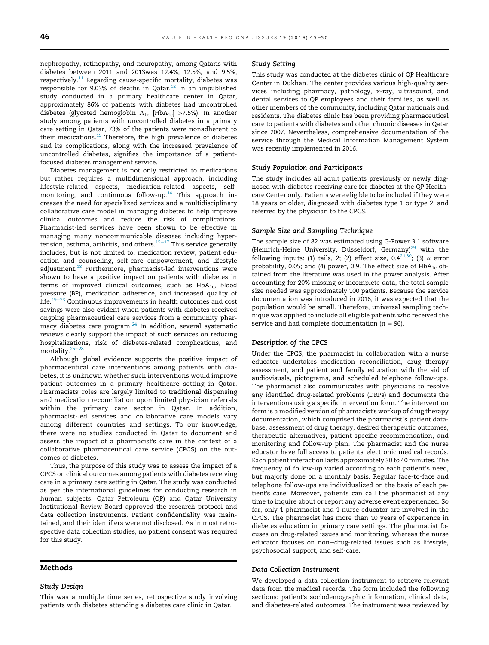nephropathy, retinopathy, and neuropathy, among Qataris with diabetes between 2011 and 2013was 12.4%, 12.5%, and 9.5%, respectively. $11$  Regarding cause-specific mortality, diabetes was responsible for 9.03% of deaths in Qatar.<sup>12</sup> In an unpublished study conducted in a primary healthcare center in Qatar, approximately 86% of patients with diabetes had uncontrolled diabetes (glycated hemoglobin  $A_{1c}$  [Hb $A_{1c}$ ] >7.5%). In another study among patients with uncontrolled diabetes in a primary care setting in Qatar, 73% of the patients were nonadherent to their medications. $^{13}$  Therefore, the high prevalence of diabetes and its complications, along with the increased prevalence of uncontrolled diabetes, signifies the importance of a patientfocused diabetes management service.

Diabetes management is not only restricted to medications but rather requires a multidimensional approach, including lifestyle-related aspects, medication-related aspects, selfmonitoring, and continuous follow-up.<sup>14</sup> This approach increases the need for specialized services and a multidisciplinary collaborative care model in managing diabetes to help improve clinical outcomes and reduce the risk of complications. Pharmacist-led services have been shown to be effective in managing many noncommunicable diseases including hypertension, asthma, arthritis, and others.<sup>15-17</sup> This service generally includes, but is not limited to, medication review, patient education and counseling, self-care empowerment, and lifestyle adjustment.<sup>18</sup> Furthermore, pharmacist-led interventions were shown to have a positive impact on patients with diabetes in terms of improved clinical outcomes, such as  $HbA<sub>1c</sub>$ , blood pressure (BP), medication adherence, and increased quality of life. $19-23$  Continuous improvements in health outcomes and cost savings were also evident when patients with diabetes received ongoing pharmaceutical care services from a community pharmacy diabetes care program. $^{24}$  In addition, several systematic reviews clearly support the impact of such services on reducing hospitalizations, risk of diabetes-related complications, and mortality. $25-28$ 

Although global evidence supports the positive impact of pharmaceutical care interventions among patients with diabetes, it is unknown whether such interventions would improve patient outcomes in a primary healthcare setting in Qatar. Pharmacists' roles are largely limited to traditional dispensing and medication reconciliation upon limited physician referrals within the primary care sector in Qatar. In addition, pharmacist-led services and collaborative care models vary among different countries and settings. To our knowledge, there were no studies conducted in Qatar to document and assess the impact of a pharmacist's care in the context of a collaborative pharmaceutical care service (CPCS) on the outcomes of diabetes.

Thus, the purpose of this study was to assess the impact of a CPCS on clinical outcomes among patients with diabetes receiving care in a primary care setting in Qatar. The study was conducted as per the international guidelines for conducting research in human subjects. Qatar Petroleum (QP) and Qatar University Institutional Review Board approved the research protocol and data collection instruments. Patient confidentiality was maintained, and their identifiers were not disclosed. As in most retrospective data collection studies, no patient consent was required for this study.

# Methods

#### Study Design

This was a multiple time series, retrospective study involving patients with diabetes attending a diabetes care clinic in Qatar.

#### Study Setting

This study was conducted at the diabetes clinic of QP Healthcare Center in Dukhan. The center provides various high-quality services including pharmacy, pathology, x-ray, ultrasound, and dental services to QP employees and their families, as well as other members of the community, including Qatar nationals and residents. The diabetes clinic has been providing pharmaceutical care to patients with diabetes and other chronic diseases in Qatar since 2007. Nevertheless, comprehensive documentation of the service through the Medical Information Management System was recently implemented in 2016.

#### Study Population and Participants

The study includes all adult patients previously or newly diagnosed with diabetes receiving care for diabetes at the QP Healthcare Center only. Patients were eligible to be included if they were 18 years or older, diagnosed with diabetes type 1 or type 2, and referred by the physician to the CPCS.

#### Sample Size and Sampling Technique

The sample size of 82 was estimated using G-Power 3.1 software (Heinrich-Heine University, Düsseldorf, Germany)<sup>29</sup> with the following inputs: (1) tails, 2; (2) effect size, 0.4 $^{24,30}$ ; (3)  $\alpha$  error probability, 0.05; and (4) power, 0.9. The effect size of  $HbA_{1c}$  obtained from the literature was used in the power analysis. After accounting for 20% missing or incomplete data, the total sample size needed was approximately 100 patients. Because the service documentation was introduced in 2016, it was expected that the population would be small. Therefore, universal sampling technique was applied to include all eligible patients who received the service and had complete documentation ( $n = 96$ ).

#### Description of the CPCS

Under the CPCS, the pharmacist in collaboration with a nurse educator undertakes medication reconciliation, drug therapy assessment, and patient and family education with the aid of audiovisuals, pictograms, and scheduled telephone follow-ups. The pharmacist also communicates with physicians to resolve any identified drug-related problems (DRPs) and documents the interventions using a specific intervention form. The intervention form is a modified version of pharmacist's workup of drug therapy documentation, which comprised the pharmacist's patient database, assessment of drug therapy, desired therapeutic outcomes, therapeutic alternatives, patient-specific recommendation, and monitoring and follow-up plan. The pharmacist and the nurse educator have full access to patients' electronic medical records. Each patient interaction lasts approximately 30 to 40 minutes. The frequency of follow-up varied according to each patient's need, but majorly done on a monthly basis. Regular face-to-face and telephone follow-ups are individualized on the basis of each patient's case. Moreover, patients can call the pharmacist at any time to inquire about or report any adverse event experienced. So far, only 1 pharmacist and 1 nurse educator are involved in the CPCS. The pharmacist has more than 10 years of experience in diabetes education in primary care settings. The pharmacist focuses on drug-related issues and monitoring, whereas the nurse educator focuses on non-drug-related issues such as lifestyle, psychosocial support, and self-care.

## Data Collection Instrument

We developed a data collection instrument to retrieve relevant data from the medical records. The form included the following sections: patient's sociodemographic information, clinical data, and diabetes-related outcomes. The instrument was reviewed by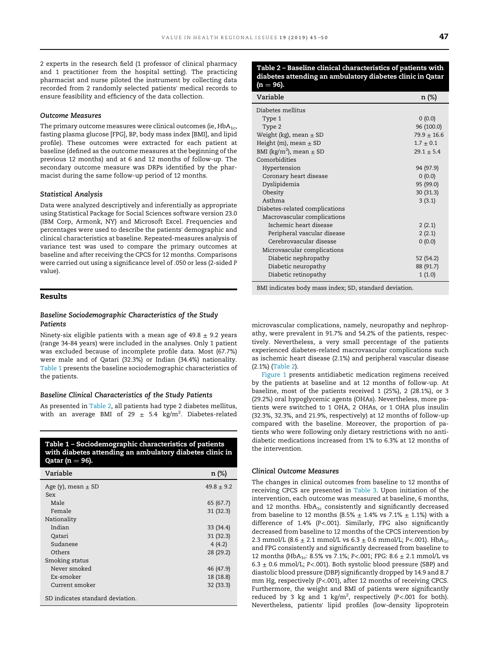2 experts in the research field (1 professor of clinical pharmacy and 1 practitioner from the hospital setting). The practicing pharmacist and nurse piloted the instrument by collecting data recorded from 2 randomly selected patients' medical records to ensure feasibility and efficiency of the data collection.

#### Outcome Measures

The primary outcome measures were clinical outcomes (ie,  $HbA_{1c}$ , fasting plasma glucose [FPG], BP, body mass index [BMI], and lipid profile). These outcomes were extracted for each patient at baseline (defined as the outcome measures at the beginning of the previous 12 months) and at 6 and 12 months of follow-up. The secondary outcome measure was DRPs identified by the pharmacist during the same follow-up period of 12 months.

#### Statistical Analysis

Data were analyzed descriptively and inferentially as appropriate using Statistical Package for Social Sciences software version 23.0 (IBM Corp, Armonk, NY) and Microsoft Excel. Frequencies and percentages were used to describe the patients' demographic and clinical characteristics at baseline. Repeated-measures analysis of variance test was used to compare the primary outcomes at baseline and after receiving the CPCS for 12 months. Comparisons were carried out using a significance level of .050 or less (2-sided P value).

## Results

# Baseline Sociodemographic Characteristics of the Study Patients

Ninety-six eligible patients with a mean age of  $49.8 \pm 9.2$  years (range 34-84 years) were included in the analyses. Only 1 patient was excluded because of incomplete profile data. Most (67.7%) were male and of Qatari (32.3%) or Indian (34.4%) nationality. Table 1 presents the baseline sociodemographic characteristics of the patients.

#### Baseline Clinical Characteristics of the Study Patients

As presented in Table 2, all patients had type 2 diabetes mellitus, with an average BMI of 29  $\pm$  5.4 kg/m<sup>2</sup>. Diabetes-related

Table 1 – Sociodemographic characteristics of patients with diabetes attending an ambulatory diabetes clinic in Qatar ( $n = 96$ ).

| Variable                         | n (%)          |
|----------------------------------|----------------|
| Age (y), mean $\pm$ SD           | $49.8 \pm 9.2$ |
| Sex                              |                |
| Male                             | 65 (67.7)      |
| Female                           | 31(32.3)       |
| Nationality                      |                |
| Indian                           | 33(34.4)       |
| Qatari                           | 31(32.3)       |
| Sudanese                         | 4(4.2)         |
| Others                           | 28 (29.2)      |
| Smoking status                   |                |
| Never smoked                     | 46 (47.9)      |
| Ex-smoker                        | 18 (18.8)      |
| Current smoker                   | 32 (33.3)      |
| SD indicates standard deviation. |                |

#### Table 2 – Baseline clinical characteristics of patients with diabetes attending an ambulatory diabetes clinic in Qatar  $-96$ ).

| Variable                                | n (%)           |
|-----------------------------------------|-----------------|
| Diabetes mellitus                       |                 |
| Type 1                                  | 0(0.0)          |
| Type 2                                  | 96 (100.0)      |
| Weight (kg), mean $\pm$ SD              | $79.9 \pm 16.6$ |
| Height (m), mean $\pm$ SD               | $1.7 \pm 0.1$   |
| BMI (kg/m <sup>2</sup> ), mean $\pm$ SD | $29.1 \pm 5.4$  |
| Comorbidities                           |                 |
| Hypertension                            | 94 (97.9)       |
| Coronary heart disease                  | (0.0)           |
| Dyslipidemia                            | 95 (99.0)       |
| Obesity                                 | 30 (31.3)       |
| Asthma                                  | 3(3.1)          |
| Diabetes-related complications          |                 |
| Macrovascular complications             |                 |
| Ischemic heart disease                  | 2(2.1)          |
| Peripheral vascular disease             | 2(2.1)          |
| Cerebrovascular disease                 | 0(0.0)          |
| Microvascular complications             |                 |
| Diabetic nephropathy                    | 52 (54.2)       |
| Diabetic neuropathy                     | 88 (91.7)       |
| Diabetic retinopathy                    | 1(1.0)          |
| $\cdot$ $\cdot$<br>.                    |                 |

BMI indicates body mass index; SD, standard deviation.

microvascular complications, namely, neuropathy and nephropathy, were prevalent in 91.7% and 54.2% of the patients, respectively. Nevertheless, a very small percentage of the patients experienced diabetes-related macrovascular complications such as ischemic heart disease (2.1%) and peripheral vascular disease (2.1%) (Table 2).

Figure 1 presents antidiabetic medication regimens received by the patients at baseline and at 12 months of follow-up. At baseline, most of the patients received 1 (25%), 2 (28.1%), or 3 (29.2%) oral hypoglycemic agents (OHAs). Nevertheless, more patients were switched to 1 OHA, 2 OHAs, or 1 OHA plus insulin (32.3%, 32.3%, and 21.9%, respectively) at 12 months of follow-up compared with the baseline. Moreover, the proportion of patients who were following only dietary restrictions with no antidiabetic medications increased from 1% to 6.3% at 12 months of the intervention.

## Clinical Outcome Measures

The changes in clinical outcomes from baseline to 12 months of receiving CPCS are presented in Table 3. Upon initiation of the intervention, each outcome was measured at baseline, 6 months, and 12 months.  $HbA_{1c}$  consistently and significantly decreased from baseline to 12 months (8.5%  $\pm$  1.4% vs 7.1%  $\pm$  1.1%) with a difference of 1.4% (P<.001). Similarly, FPG also significantly decreased from baseline to 12 months of the CPCS intervention by 2.3 mmol/L (8.6  $\pm$  2.1 mmol/L vs 6.3  $\pm$  0.6 mmol/L; P<.001). HbA<sub>1c</sub> and FPG consistently and significantly decreased from baseline to 12 months (HbA<sub>1c</sub>: 8.5% vs 7.1%; P<.001; FPG: 8.6  $\pm$  2.1 mmol/L vs 6.3  $\pm$  0.6 mmol/L; P<.001). Both systolic blood pressure (SBP) and diastolic blood pressure (DBP) significantly dropped by 14.9 and 8.7 mm Hg, respectively (P<.001), after 12 months of receiving CPCS. Furthermore, the weight and BMI of patients were significantly reduced by 3 kg and 1 kg/m<sup>2</sup>, respectively (P<.001 for both). Nevertheless, patients' lipid profiles (low-density lipoprotein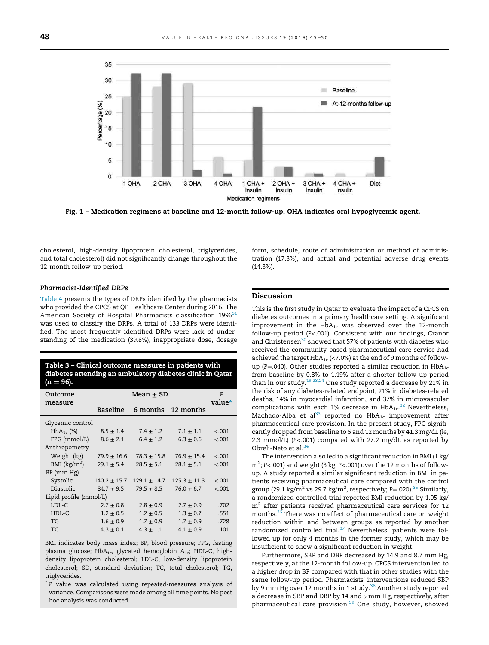

Fig. 1 – Medication regimens at baseline and 12-month follow-up. OHA indicates oral hypoglycemic agent.

cholesterol, high-density lipoprotein cholesterol, triglycerides, and total cholesterol) did not significantly change throughout the 12-month follow-up period.

#### Pharmacist-Identified DRPs

Table 4 presents the types of DRPs identified by the pharmacists who provided the CPCS at QP Healthcare Center during 2016. The American Society of Hospital Pharmacists classification 1996<sup>31</sup> was used to classify the DRPs. A total of 133 DRPs were identified. The most frequently identified DRPs were lack of understanding of the medication (39.8%), inappropriate dose, dosage

| Table 3 - Clinical outcome measures in patients with<br>diabetes attending an ambulatory diabetes clinic in Qatar<br>(n = 96). |                  |                  |                  |         |  |  |
|--------------------------------------------------------------------------------------------------------------------------------|------------------|------------------|------------------|---------|--|--|
| Outcome                                                                                                                        | Mean + SD        |                  |                  | P       |  |  |
| measure                                                                                                                        | <b>Baseline</b>  | 6 months         | 12 months        | value*  |  |  |
| Glycemic control                                                                                                               |                  |                  |                  |         |  |  |
| $HbA_{1c}$ (%)                                                                                                                 | $8.5 \pm 1.4$    | $7.4 \pm 1.2$    | $7.1 \pm 1.1$    | < .001  |  |  |
| FPG (mmol/L)                                                                                                                   | $8.6 \pm 2.1$    | $6.4 \pm 1.2$    | $6.3 \pm 0.6$    | < .001  |  |  |
| Anthropometry                                                                                                                  |                  |                  |                  |         |  |  |
| Weight (kg)                                                                                                                    | $79.9 \pm 16.6$  | $78.3 \pm 15.8$  | $76.9 \pm 15.4$  | < .001  |  |  |
| BMI $(kg/m^2)$                                                                                                                 | $29.1 \pm 5.4$   | $28.5 \pm 5.1$   | $28.1 \pm 5.1$   | < .001  |  |  |
| BP (mm Hg)                                                                                                                     |                  |                  |                  |         |  |  |
| Systolic                                                                                                                       | $140.2 \pm 15.7$ | $129.1 \pm 14.7$ | $125.3 \pm 11.3$ | < .001  |  |  |
| Diastolic                                                                                                                      | $84.7 \pm 9.5$   | $79.5 \pm 8.5$   | $76.0 \pm 6.7$   | $-.001$ |  |  |
| Lipid profile (mmol/L)                                                                                                         |                  |                  |                  |         |  |  |
| $LDL-C$                                                                                                                        | $2.7 \pm 0.8$    | $2.8 \pm 0.9$    | $2.7 \pm 0.9$    | .702    |  |  |
| $HDL-C$                                                                                                                        | $1.2 \pm 0.5$    | $1.2 \pm 0.5$    | $1.3 \pm 0.7$    | .551    |  |  |
| TG.                                                                                                                            | $1.6 \pm 0.9$    | $1.7 \pm 0.9$    | $1.7 \pm 0.9$    | .728    |  |  |
| TC.                                                                                                                            | $4.3 \pm 0.1$    | $4.3 \pm 1.1$    | $4.1 \pm 0.9$    | .101    |  |  |
|                                                                                                                                |                  |                  |                  |         |  |  |

BMI indicates body mass index; BP, blood pressure; FPG, fasting plasma glucose; Hb $A_{1c}$ , glycated hemoglobin  $A_{1c}$ ; HDL-C, highdensity lipoprotein cholesterol; LDL-C, low-density lipoprotein cholesterol; SD, standard deviation; TC, total cholesterol; TG, triglycerides.

\* P value was calculated using repeated-measures analysis of variance. Comparisons were made among all time points. No post hoc analysis was conducted.

form, schedule, route of administration or method of administration (17.3%), and actual and potential adverse drug events (14.3%).

#### Discussion

This is the first study in Qatar to evaluate the impact of a CPCS on diabetes outcomes in a primary healthcare setting. A significant improvement in the  $HbA_{1c}$  was observed over the 12-month follow-up period (P<.001). Consistent with our findings, Cranor and Christensen<sup>30</sup> showed that 57% of patients with diabetes who received the community-based pharmaceutical care service had achieved the target  $HbA_{1c}$  (<7.0%) at the end of 9 months of followup (P=.040). Other studies reported a similar reduction in HbA<sub>1c</sub> from baseline by 0.8% to 1.19% after a shorter follow-up period than in our study.<sup>19,23,24</sup> One study reported a decrease by 21% in the risk of any diabetes-related endpoint, 21% in diabetes-related deaths, 14% in myocardial infarction, and 37% in microvascular complications with each 1% decrease in  $HbA_{1c}$ .<sup>32</sup> Nevertheless, Machado-Alba et al<sup>33</sup> reported no  $HbA_{1c}$  improvement after pharmaceutical care provision. In the present study, FPG significantly dropped from baseline to 6 and 12 months by 41.3 mg/dL (ie, 2.3 mmol/L) (P<.001) compared with 27.2 mg/dL as reported by Obreli-Neto et al.  $34$ 

The intervention also led to a significant reduction in BMI (1 kg/ m<sup>2</sup>; P<.001) and weight (3 kg; P<.001) over the 12 months of followup. A study reported a similar significant reduction in BMI in patients receiving pharmaceutical care compared with the control group (29.1 kg/m<sup>2</sup> vs 29.7 kg/m<sup>2</sup>, respectively; P=.020).<sup>35</sup> Similarly, a randomized controlled trial reported BMI reduction by 1.05 kg/  $\rm m^2$  after patients received pharmaceutical care services for 12 months.<sup>36</sup> There was no effect of pharmaceutical care on weight reduction within and between groups as reported by another randomized controlled trial. $37$  Nevertheless, patients were followed up for only 4 months in the former study, which may be insufficient to show a significant reduction in weight.

Furthermore, SBP and DBP decreased by 14.9 and 8.7 mm Hg, respectively, at the 12-month follow-up. CPCS intervention led to a higher drop in BP compared with that in other studies with the same follow-up period. Pharmacists' interventions reduced SBP by 9 mm Hg over 12 months in 1 study.<sup>38</sup> Another study reported a decrease in SBP and DBP by 14 and 5 mm Hg, respectively, after pharmaceutical care provision.<sup>39</sup> One study, however, showed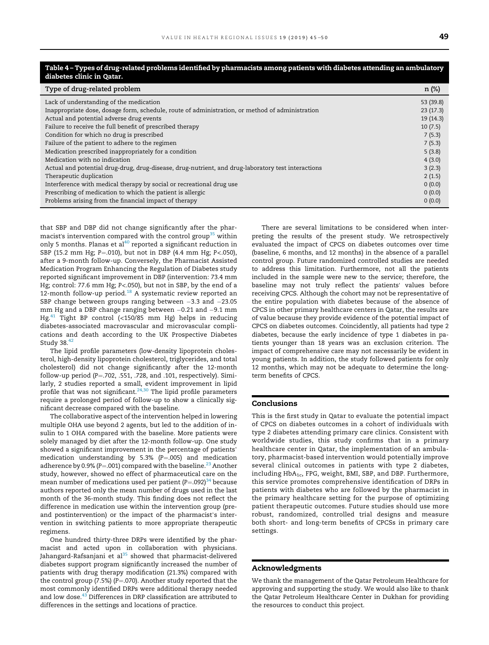| Table 4 – Types of drug-related problems identified by pharmacists among patients with diabetes attending an ambulatory<br>diabetes clinic in Qatar. |           |  |  |  |
|------------------------------------------------------------------------------------------------------------------------------------------------------|-----------|--|--|--|
| Type of drug-related problem                                                                                                                         | n (%)     |  |  |  |
| Lack of understanding of the medication                                                                                                              | 53 (39.8) |  |  |  |
| Inappropriate dose, dosage form, schedule, route of administration, or method of administration                                                      | 23(17.3)  |  |  |  |
| Actual and potential adverse drug events                                                                                                             | 19(14.3)  |  |  |  |
| Failure to receive the full benefit of prescribed therapy                                                                                            | 10(7.5)   |  |  |  |
| Condition for which no drug is prescribed                                                                                                            | 7(5.3)    |  |  |  |
| Failure of the patient to adhere to the regimen                                                                                                      | 7(5.3)    |  |  |  |
| Medication prescribed inappropriately for a condition                                                                                                | 5(3.8)    |  |  |  |
| Medication with no indication                                                                                                                        | 4(3.0)    |  |  |  |
| Actual and potential drug-drug, drug-disease, drug-nutrient, and drug-laboratory test interactions                                                   | 3(2.3)    |  |  |  |
| Therapeutic duplication                                                                                                                              | 2(1.5)    |  |  |  |
| Interference with medical therapy by social or recreational drug use                                                                                 | 0(0.0)    |  |  |  |
| Prescribing of medication to which the patient is allergic                                                                                           | 0(0.0)    |  |  |  |
| Problems arising from the financial impact of therapy                                                                                                | 0(0.0)    |  |  |  |

# Table 4 – Types of drug-related problems identified by pharmacists among patients with diabetes attending an ambulatory

that SBP and DBP did not change significantly after the pharmacist's intervention compared with the control group<sup>35</sup> within only 5 months. Planas et al<sup>40</sup> reported a significant reduction in SBP (15.2 mm Hg; P=.010), but not in DBP (4.4 mm Hg; P<.050), after a 9-month follow-up. Conversely, the Pharmacist Assisted Medication Program Enhancing the Regulation of Diabetes study reported significant improvement in DBP (intervention: 73.4 mm Hg; control: 77.6 mm Hg; P<.050), but not in SBP, by the end of a 12-month follow-up period.<sup>18</sup> A systematic review reported an SBP change between groups ranging between -3.3 and -23.05 mm Hg and a DBP change ranging between  $-0.21$  and  $-9.1$  mm Hg.<sup>41</sup> Tight BP control (<150/85 mm Hg) helps in reducing diabetes-associated macrovascular and microvascular complications and death according to the UK Prospective Diabetes Study 38.<sup>42</sup>

The lipid profile parameters (low-density lipoprotein cholesterol, high-density lipoprotein cholesterol, triglycerides, and total cholesterol) did not change significantly after the 12-month follow-up period (P=.702, .551, .728, and .101, respectively). Similarly, 2 studies reported a small, evident improvement in lipid profile that was not significant. $24,30$  The lipid profile parameters require a prolonged period of follow-up to show a clinically significant decrease compared with the baseline.

The collaborative aspect of the intervention helped in lowering multiple OHA use beyond 2 agents, but led to the addition of insulin to 1 OHA compared with the baseline. More patients were solely managed by diet after the 12-month follow-up. One study showed a significant improvement in the percentage of patients' medication understanding by 5.3% ( $P = .005$ ) and medication adherence by 0.9% (P=.001) compared with the baseline.<sup>23</sup> Another study, however, showed no effect of pharmaceutical care on the mean number of medications used per patient  $(P=.092)^{34}$  because authors reported only the mean number of drugs used in the last month of the 36-month study. This finding does not reflect the difference in medication use within the intervention group (preand postintervention) or the impact of the pharmacist's intervention in switching patients to more appropriate therapeutic regimens.

One hundred thirty-three DRPs were identified by the pharmacist and acted upon in collaboration with physicians. Jahangard-Rafsanjani et al $^{35}$  showed that pharmacist-delivered diabetes support program significantly increased the number of patients with drug therapy modification (21.3%) compared with the control group (7.5%) (P=.070). Another study reported that the most commonly identified DRPs were additional therapy needed and low dose.<sup>43</sup> Differences in DRP classification are attributed to differences in the settings and locations of practice.

There are several limitations to be considered when interpreting the results of the present study. We retrospectively evaluated the impact of CPCS on diabetes outcomes over time (baseline, 6 months, and 12 months) in the absence of a parallel control group. Future randomized controlled studies are needed to address this limitation. Furthermore, not all the patients included in the sample were new to the service; therefore, the baseline may not truly reflect the patients' values before receiving CPCS. Although the cohort may not be representative of the entire population with diabetes because of the absence of CPCS in other primary healthcare centers in Qatar, the results are of value because they provide evidence of the potential impact of CPCS on diabetes outcomes. Coincidently, all patients had type 2 diabetes, because the early incidence of type 1 diabetes in patients younger than 18 years was an exclusion criterion. The impact of comprehensive care may not necessarily be evident in young patients. In addition, the study followed patients for only 12 months, which may not be adequate to determine the longterm benefits of CPCS.

#### Conclusions

This is the first study in Qatar to evaluate the potential impact of CPCS on diabetes outcomes in a cohort of individuals with type 2 diabetes attending primary care clinics. Consistent with worldwide studies, this study confirms that in a primary healthcare center in Qatar, the implementation of an ambulatory, pharmacist-based intervention would potentially improve several clinical outcomes in patients with type 2 diabetes, including HbA<sub>1c</sub>, FPG, weight, BMI, SBP, and DBP. Furthermore, this service promotes comprehensive identification of DRPs in patients with diabetes who are followed by the pharmacist in the primary healthcare setting for the purpose of optimizing patient therapeutic outcomes. Future studies should use more robust, randomized, controlled trial designs and measure both short- and long-term benefits of CPCSs in primary care settings.

#### Acknowledgments

We thank the management of the Qatar Petroleum Healthcare for approving and supporting the study. We would also like to thank the Qatar Petroleum Healthcare Center in Dukhan for providing the resources to conduct this project.